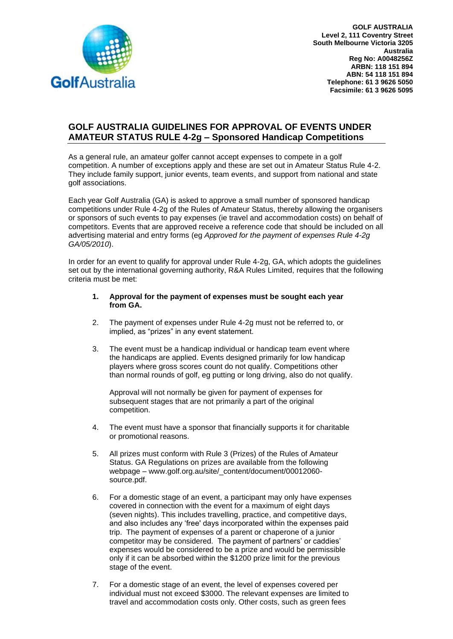

**GOLF AUSTRALIA Level 2, 111 Coventry Street South Melbourne Victoria 3205 Australia Reg No: A0048256Z ARBN: 118 151 894 ABN: 54 118 151 894 Telephone: 61 3 9626 5050 Facsimile: 61 3 9626 5095**

## **GOLF AUSTRALIA GUIDELINES FOR APPROVAL OF EVENTS UNDER AMATEUR STATUS RULE 4-2g – Sponsored Handicap Competitions**

As a general rule, an amateur golfer cannot accept expenses to compete in a golf competition. A number of exceptions apply and these are set out in Amateur Status Rule 4-2. They include family support, junior events, team events, and support from national and state golf associations.

Each year Golf Australia (GA) is asked to approve a small number of sponsored handicap competitions under Rule 4-2g of the Rules of Amateur Status, thereby allowing the organisers or sponsors of such events to pay expenses (ie travel and accommodation costs) on behalf of competitors. Events that are approved receive a reference code that should be included on all advertising material and entry forms (eg *Approved for the payment of expenses Rule 4-2g GA/05/2010*).

In order for an event to qualify for approval under Rule 4-2g, GA, which adopts the guidelines set out by the international governing authority, R&A Rules Limited, requires that the following criteria must be met:

## **1. Approval for the payment of expenses must be sought each year from GA.**

- 2. The payment of expenses under Rule 4-2g must not be referred to, or implied, as "prizes" in any event statement.
- 3. The event must be a handicap individual or handicap team event where the handicaps are applied. Events designed primarily for low handicap players where gross scores count do not qualify. Competitions other than normal rounds of golf, eg putting or long driving, also do not qualify.

Approval will not normally be given for payment of expenses for subsequent stages that are not primarily a part of the original competition.

- 4. The event must have a sponsor that financially supports it for charitable or promotional reasons.
- 5. All prizes must conform with Rule 3 (Prizes) of the Rules of Amateur Status. GA Regulations on prizes are available from the following webpage – [www.golf.org.au/site/\\_content/document/00012060](http://www.golf.org.au/site/_content/document/00012060-source.pdf) [source.pdf.](http://www.golf.org.au/site/_content/document/00012060-source.pdf)
- 6. For a domestic stage of an event, a participant may only have expenses covered in connection with the event for a maximum of eight days (seven nights). This includes travelling, practice, and competitive days, and also includes any 'free' days incorporated within the expenses paid trip. The payment of expenses of a parent or chaperone of a junior competitor may be considered. The payment of partners' or caddies' expenses would be considered to be a prize and would be permissible only if it can be absorbed within the \$1200 prize limit for the previous stage of the event.
- 7. For a domestic stage of an event, the level of expenses covered per individual must not exceed \$3000. The relevant expenses are limited to travel and accommodation costs only. Other costs, such as green fees